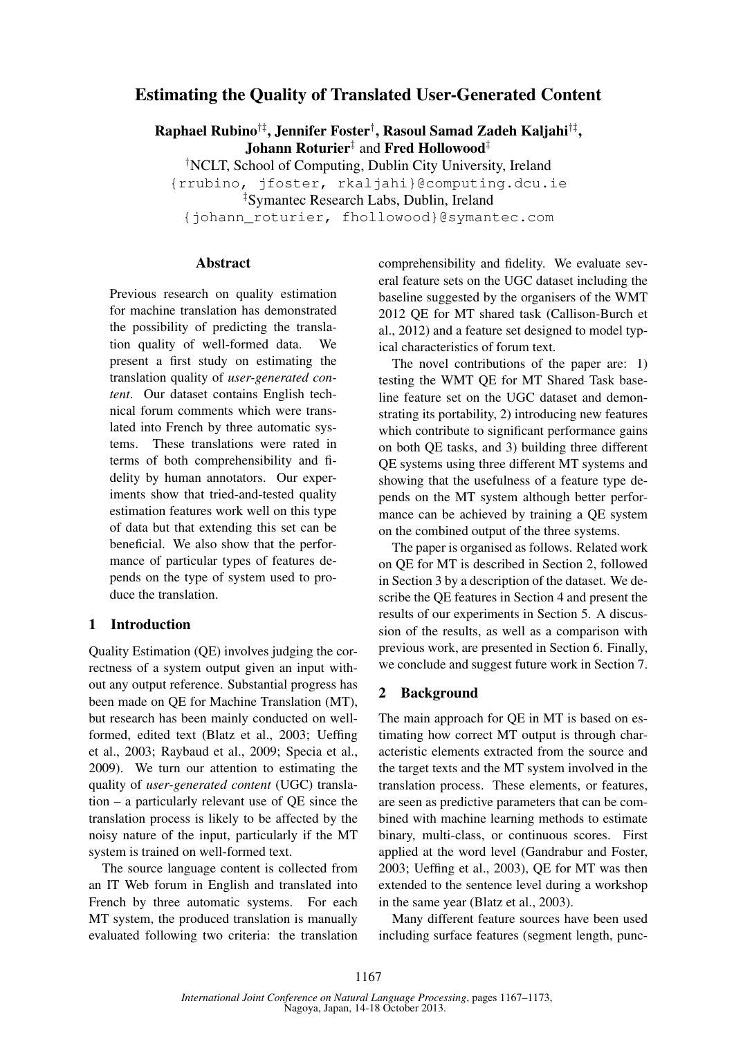# Estimating the Quality of Translated User-Generated Content

Raphael Rubino†‡, Jennifer Foster† , Rasoul Samad Zadeh Kaljahi†‡ , Johann Roturier‡ and Fred Hollowood‡

†NCLT, School of Computing, Dublin City University, Ireland

{rrubino, jfoster, rkaljahi}@computing.dcu.ie

‡Symantec Research Labs, Dublin, Ireland

{johann\_roturier, fhollowood}@symantec.com

### Abstract

Previous research on quality estimation for machine translation has demonstrated the possibility of predicting the translation quality of well-formed data. We present a first study on estimating the translation quality of *user-generated content*. Our dataset contains English technical forum comments which were translated into French by three automatic systems. These translations were rated in terms of both comprehensibility and fidelity by human annotators. Our experiments show that tried-and-tested quality estimation features work well on this type of data but that extending this set can be beneficial. We also show that the performance of particular types of features depends on the type of system used to produce the translation.

### 1 Introduction

Quality Estimation (QE) involves judging the correctness of a system output given an input without any output reference. Substantial progress has been made on QE for Machine Translation (MT), but research has been mainly conducted on wellformed, edited text (Blatz et al., 2003; Ueffing et al., 2003; Raybaud et al., 2009; Specia et al., 2009). We turn our attention to estimating the quality of *user-generated content* (UGC) translation – a particularly relevant use of QE since the translation process is likely to be affected by the noisy nature of the input, particularly if the MT system is trained on well-formed text.

The source language content is collected from an IT Web forum in English and translated into French by three automatic systems. For each MT system, the produced translation is manually evaluated following two criteria: the translation comprehensibility and fidelity. We evaluate several feature sets on the UGC dataset including the baseline suggested by the organisers of the WMT 2012 QE for MT shared task (Callison-Burch et al., 2012) and a feature set designed to model typical characteristics of forum text.

The novel contributions of the paper are: 1) testing the WMT QE for MT Shared Task baseline feature set on the UGC dataset and demonstrating its portability, 2) introducing new features which contribute to significant performance gains on both QE tasks, and 3) building three different QE systems using three different MT systems and showing that the usefulness of a feature type depends on the MT system although better performance can be achieved by training a QE system on the combined output of the three systems.

The paper is organised as follows. Related work on QE for MT is described in Section 2, followed in Section 3 by a description of the dataset. We describe the QE features in Section 4 and present the results of our experiments in Section 5. A discussion of the results, as well as a comparison with previous work, are presented in Section 6. Finally, we conclude and suggest future work in Section 7.

#### 2 Background

The main approach for QE in MT is based on estimating how correct MT output is through characteristic elements extracted from the source and the target texts and the MT system involved in the translation process. These elements, or features, are seen as predictive parameters that can be combined with machine learning methods to estimate binary, multi-class, or continuous scores. First applied at the word level (Gandrabur and Foster, 2003; Ueffing et al., 2003), QE for MT was then extended to the sentence level during a workshop in the same year (Blatz et al., 2003).

Many different feature sources have been used including surface features (segment length, punc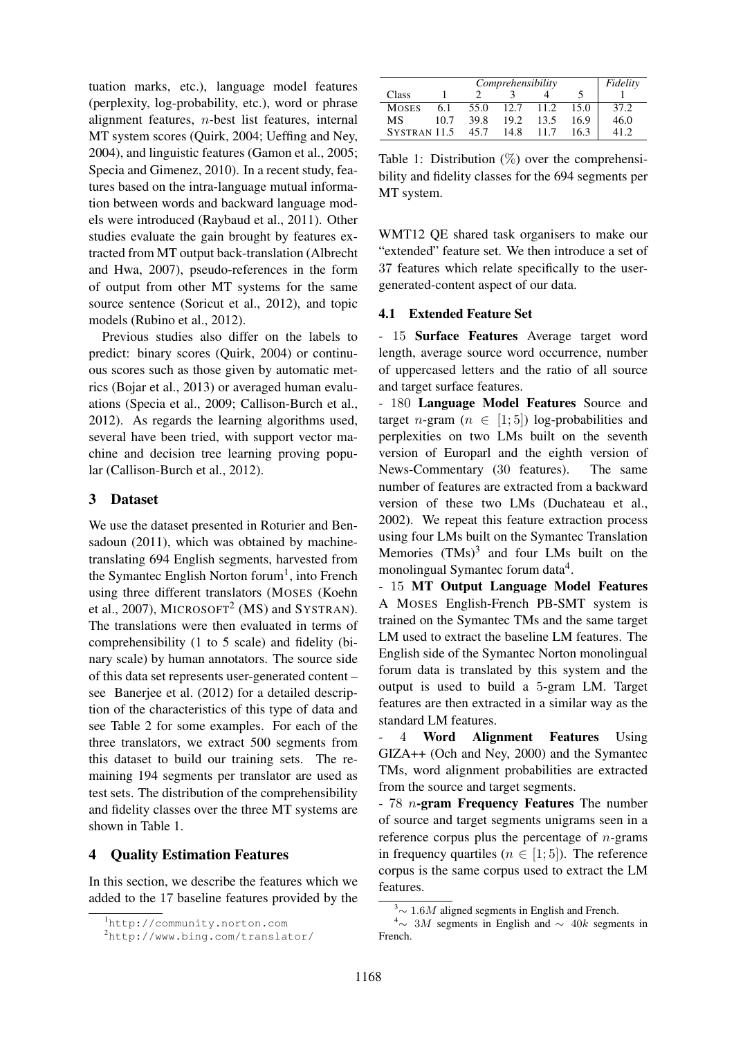tuation marks, etc.), language model features (perplexity, log-probability, etc.), word or phrase alignment features, n-best list features, internal MT system scores (Quirk, 2004; Ueffing and Ney, 2004), and linguistic features (Gamon et al., 2005; Specia and Gimenez, 2010). In a recent study, features based on the intra-language mutual information between words and backward language models were introduced (Raybaud et al., 2011). Other studies evaluate the gain brought by features extracted from MT output back-translation (Albrecht and Hwa, 2007), pseudo-references in the form of output from other MT systems for the same source sentence (Soricut et al., 2012), and topic models (Rubino et al., 2012).

Previous studies also differ on the labels to predict: binary scores (Quirk, 2004) or continuous scores such as those given by automatic metrics (Bojar et al., 2013) or averaged human evaluations (Specia et al., 2009; Callison-Burch et al., 2012). As regards the learning algorithms used, several have been tried, with support vector machine and decision tree learning proving popular (Callison-Burch et al., 2012).

### 3 Dataset

We use the dataset presented in Roturier and Bensadoun (2011), which was obtained by machinetranslating 694 English segments, harvested from the Symantec English Norton forum<sup>1</sup>, into French using three different translators (MOSES (Koehn et al., 2007), MICROSOFT<sup>2</sup> (MS) and SYSTRAN). The translations were then evaluated in terms of comprehensibility (1 to 5 scale) and fidelity (binary scale) by human annotators. The source side of this data set represents user-generated content – see Banerjee et al. (2012) for a detailed description of the characteristics of this type of data and see Table 2 for some examples. For each of the three translators, we extract 500 segments from this dataset to build our training sets. The remaining 194 segments per translator are used as test sets. The distribution of the comprehensibility and fidelity classes over the three MT systems are shown in Table 1.

## 4 Quality Estimation Features

In this section, we describe the features which we added to the 17 baseline features provided by the

| Comprehensibility       |      |      |      |      | Fidelity |       |
|-------------------------|------|------|------|------|----------|-------|
| Class                   |      |      |      |      |          |       |
| <b>MOSES</b>            | 6.1  | 55.0 | 12.7 | 11.2 | 15.0     | 37.2  |
| МS                      | 10.7 | 39.8 | 19.2 | 13.5 | 16.9     | 46.0  |
| SYSTRAN <sub>11.5</sub> |      | 45.7 | 14.8 | 117  | 16.3     | 41.2. |

Table 1: Distribution  $(\%)$  over the comprehensibility and fidelity classes for the 694 segments per MT system.

WMT12 QE shared task organisers to make our "extended" feature set. We then introduce a set of 37 features which relate specifically to the usergenerated-content aspect of our data.

# 4.1 Extended Feature Set

- 15 Surface Features Average target word length, average source word occurrence, number of uppercased letters and the ratio of all source and target surface features.

- 180 Language Model Features Source and target *n*-gram ( $n \in [1, 5]$ ) log-probabilities and perplexities on two LMs built on the seventh version of Europarl and the eighth version of News-Commentary (30 features). The same number of features are extracted from a backward version of these two LMs (Duchateau et al., 2002). We repeat this feature extraction process using four LMs built on the Symantec Translation Memories  $(TMs)^3$  and four LMs built on the monolingual Symantec forum data<sup>4</sup>.

- 15 MT Output Language Model Features A MOSES English-French PB-SMT system is trained on the Symantec TMs and the same target LM used to extract the baseline LM features. The English side of the Symantec Norton monolingual forum data is translated by this system and the output is used to build a 5-gram LM. Target features are then extracted in a similar way as the standard LM features.

4 Word Alignment Features Using GIZA++ (Och and Ney, 2000) and the Symantec TMs, word alignment probabilities are extracted from the source and target segments.

 $-78$  n-gram Frequency Features The number of source and target segments unigrams seen in a reference corpus plus the percentage of  $n$ -grams in frequency quartiles ( $n \in [1, 5]$ ). The reference corpus is the same corpus used to extract the LM features.

<sup>1</sup>http://community.norton.com

<sup>2</sup>http://www.bing.com/translator/

 $3$ ~ 1.6M aligned segments in English and French.

 $4~\sim~3M$  segments in English and  $\sim~40k$  segments in French.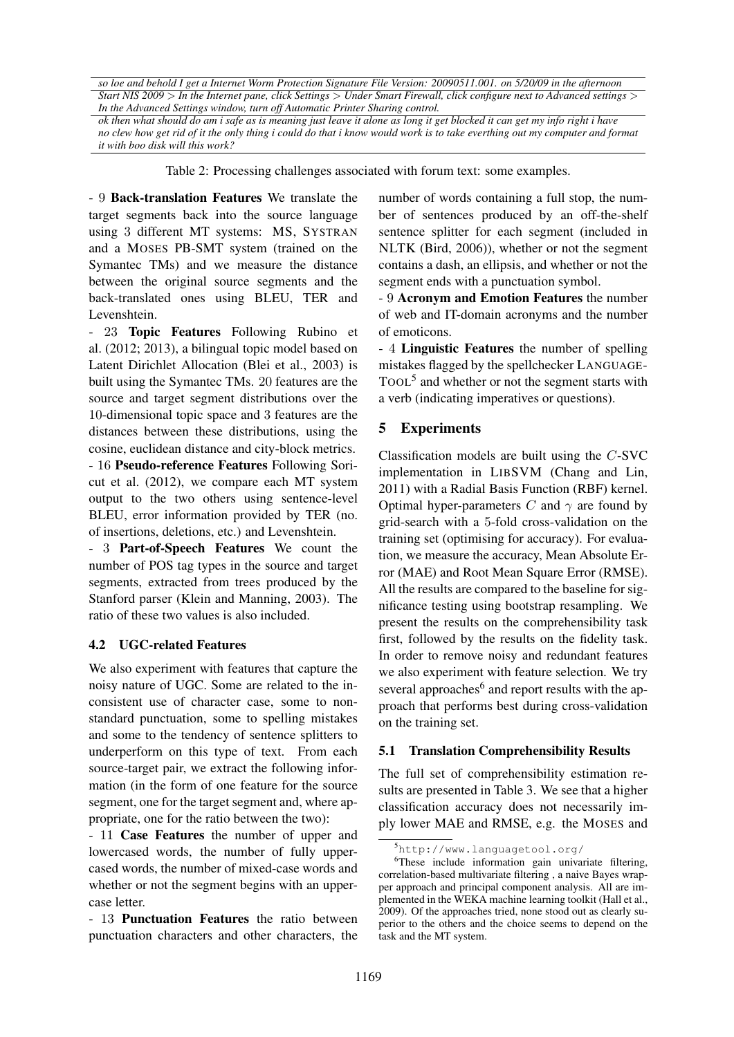*so loe and behold I get a Internet Worm Protection Signature File Version: 20090511.001. on 5/20/09 in the afternoon Start NIS 2009* > *In the Internet pane, click Settings* > *Under Smart Firewall, click configure next to Advanced settings* > *In the Advanced Settings window, turn off Automatic Printer Sharing control.*

*ok then what should do am i safe as is meaning just leave it alone as long it get blocked it can get my info right i have no clew how get rid of it the only thing i could do that i know would work is to take everthing out my computer and format it with boo disk will this work?*

Table 2: Processing challenges associated with forum text: some examples.

- 9 Back-translation Features We translate the target segments back into the source language using 3 different MT systems: MS, SYSTRAN and a MOSES PB-SMT system (trained on the Symantec TMs) and we measure the distance between the original source segments and the back-translated ones using BLEU, TER and Levenshtein.

- 23 Topic Features Following Rubino et al. (2012; 2013), a bilingual topic model based on Latent Dirichlet Allocation (Blei et al., 2003) is built using the Symantec TMs. 20 features are the source and target segment distributions over the 10-dimensional topic space and 3 features are the distances between these distributions, using the cosine, euclidean distance and city-block metrics.

- 16 Pseudo-reference Features Following Soricut et al. (2012), we compare each MT system output to the two others using sentence-level BLEU, error information provided by TER (no. of insertions, deletions, etc.) and Levenshtein.

- 3 Part-of-Speech Features We count the number of POS tag types in the source and target segments, extracted from trees produced by the Stanford parser (Klein and Manning, 2003). The ratio of these two values is also included.

### 4.2 UGC-related Features

We also experiment with features that capture the noisy nature of UGC. Some are related to the inconsistent use of character case, some to nonstandard punctuation, some to spelling mistakes and some to the tendency of sentence splitters to underperform on this type of text. From each source-target pair, we extract the following information (in the form of one feature for the source segment, one for the target segment and, where appropriate, one for the ratio between the two):

- 11 Case Features the number of upper and lowercased words, the number of fully uppercased words, the number of mixed-case words and whether or not the segment begins with an uppercase letter.

- 13 Punctuation Features the ratio between punctuation characters and other characters, the number of words containing a full stop, the number of sentences produced by an off-the-shelf sentence splitter for each segment (included in NLTK (Bird, 2006)), whether or not the segment contains a dash, an ellipsis, and whether or not the segment ends with a punctuation symbol.

- 9 Acronym and Emotion Features the number of web and IT-domain acronyms and the number of emoticons.

- 4 Linguistic Features the number of spelling mistakes flagged by the spellchecker LANGUAGE-TOOL<sup>5</sup> and whether or not the segment starts with a verb (indicating imperatives or questions).

## 5 Experiments

Classification models are built using the C-SVC implementation in LIBSVM (Chang and Lin, 2011) with a Radial Basis Function (RBF) kernel. Optimal hyper-parameters C and  $\gamma$  are found by grid-search with a 5-fold cross-validation on the training set (optimising for accuracy). For evaluation, we measure the accuracy, Mean Absolute Error (MAE) and Root Mean Square Error (RMSE). All the results are compared to the baseline for significance testing using bootstrap resampling. We present the results on the comprehensibility task first, followed by the results on the fidelity task. In order to remove noisy and redundant features we also experiment with feature selection. We try several approaches<sup>6</sup> and report results with the approach that performs best during cross-validation on the training set.

### 5.1 Translation Comprehensibility Results

The full set of comprehensibility estimation results are presented in Table 3. We see that a higher classification accuracy does not necessarily imply lower MAE and RMSE, e.g. the MOSES and

<sup>5</sup>http://www.languagetool.org/

<sup>6</sup>These include information gain univariate filtering, correlation-based multivariate filtering , a naive Bayes wrapper approach and principal component analysis. All are implemented in the WEKA machine learning toolkit (Hall et al., 2009). Of the approaches tried, none stood out as clearly superior to the others and the choice seems to depend on the task and the MT system.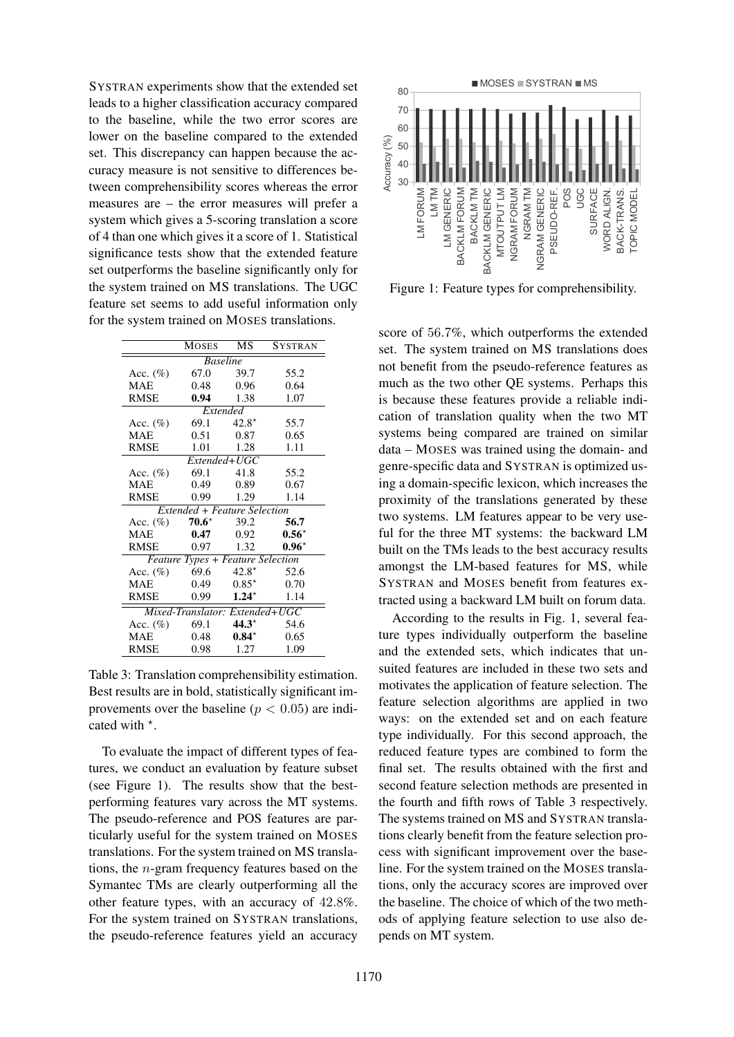SYSTRAN experiments show that the extended set leads to a higher classification accuracy compared to the baseline, while the two error scores are lower on the baseline compared to the extended set. This discrepancy can happen because the accuracy measure is not sensitive to differences between comprehensibility scores whereas the error measures are – the error measures will prefer a system which gives a 5-scoring translation a score of 4 than one which gives it a score of 1. Statistical significance tests show that the extended feature set outperforms the baseline significantly only for the system trained on MS translations. The UGC feature set seems to add useful information only for the system trained on MOSES translations.

|                                          | <b>MOSES</b>   | MS          | SYSTRAN  |  |  |  |  |
|------------------------------------------|----------------|-------------|----------|--|--|--|--|
| <b>Baseline</b>                          |                |             |          |  |  |  |  |
| Acc. $(\%)$                              | 67.0           | 39.7        | 55.2     |  |  |  |  |
| <b>MAE</b>                               | 0.48           | 0.96        | 0.64     |  |  |  |  |
| <b>RMSE</b>                              | 0.94           | 1.38        | 1.07     |  |  |  |  |
| Extended                                 |                |             |          |  |  |  |  |
| Acc. $(\%)$                              | 69.1           | $42.8*$     | 55.7     |  |  |  |  |
| <b>MAE</b>                               | 0.51           | 0.87        | 0.65     |  |  |  |  |
| <b>RMSE</b>                              | 1.01           | 1.28        | 1.11     |  |  |  |  |
|                                          | Extended+UGC   |             |          |  |  |  |  |
| Acc. $(\%)$                              | 69.1           | 41.8        | 55.2     |  |  |  |  |
| <b>MAE</b>                               | 0.49           | 0.89        | 0.67     |  |  |  |  |
| RMSE                                     | 0.99           | 1.29        | 1.14     |  |  |  |  |
| Extended + Feature Selection             |                |             |          |  |  |  |  |
| Acc. $(\%)$                              | $70.6^{\star}$ | 39.2        | 56.7     |  |  |  |  |
| MAE                                      | 0.47           | 0.92        | $0.56^*$ |  |  |  |  |
| RMSE                                     |                | $0.97$ 1.32 | $0.96*$  |  |  |  |  |
| <b>Feature Types + Feature Selection</b> |                |             |          |  |  |  |  |
| Acc. $(\%)$                              | 69.6 $42.8^*$  |             | 52.6     |  |  |  |  |
| <b>MAE</b>                               | 0.49           | $0.85*$     | 0.70     |  |  |  |  |
| RMSE                                     | $0.99$ 1.24*   |             | 1.14     |  |  |  |  |
| Mixed-Translator: Extended+UGC           |                |             |          |  |  |  |  |
| Acc. $(\% )$                             | 69.1           | $44.3*$     | 54.6     |  |  |  |  |
| <b>MAE</b>                               | 0.48           |             | 0.65     |  |  |  |  |
| <b>RMSE</b><br>0.98                      |                | 1.27        | 1.09     |  |  |  |  |

Table 3: Translation comprehensibility estimation. Best results are in bold, statistically significant improvements over the baseline ( $p < 0.05$ ) are indicated with  $*$ .

To evaluate the impact of different types of features, we conduct an evaluation by feature subset (see Figure 1). The results show that the bestperforming features vary across the MT systems. The pseudo-reference and POS features are particularly useful for the system trained on MOSES translations. For the system trained on MS translations, the n-gram frequency features based on the Symantec TMs are clearly outperforming all the other feature types, with an accuracy of 42.8%. For the system trained on SYSTRAN translations, the pseudo-reference features yield an accuracy



Figure 1: Feature types for comprehensibility.

score of 56.7%, which outperforms the extended set. The system trained on MS translations does not benefit from the pseudo-reference features as much as the two other QE systems. Perhaps this is because these features provide a reliable indication of translation quality when the two MT systems being compared are trained on similar data – MOSES was trained using the domain- and genre-specific data and SYSTRAN is optimized using a domain-specific lexicon, which increases the proximity of the translations generated by these two systems. LM features appear to be very useful for the three MT systems: the backward LM built on the TMs leads to the best accuracy results amongst the LM-based features for MS, while SYSTRAN and MOSES benefit from features extracted using a backward LM built on forum data.

According to the results in Fig. 1, several feature types individually outperform the baseline and the extended sets, which indicates that unsuited features are included in these two sets and motivates the application of feature selection. The feature selection algorithms are applied in two ways: on the extended set and on each feature type individually. For this second approach, the reduced feature types are combined to form the final set. The results obtained with the first and second feature selection methods are presented in the fourth and fifth rows of Table 3 respectively. The systems trained on MS and SYSTRAN translations clearly benefit from the feature selection process with significant improvement over the baseline. For the system trained on the MOSES translations, only the accuracy scores are improved over the baseline. The choice of which of the two methods of applying feature selection to use also depends on MT system.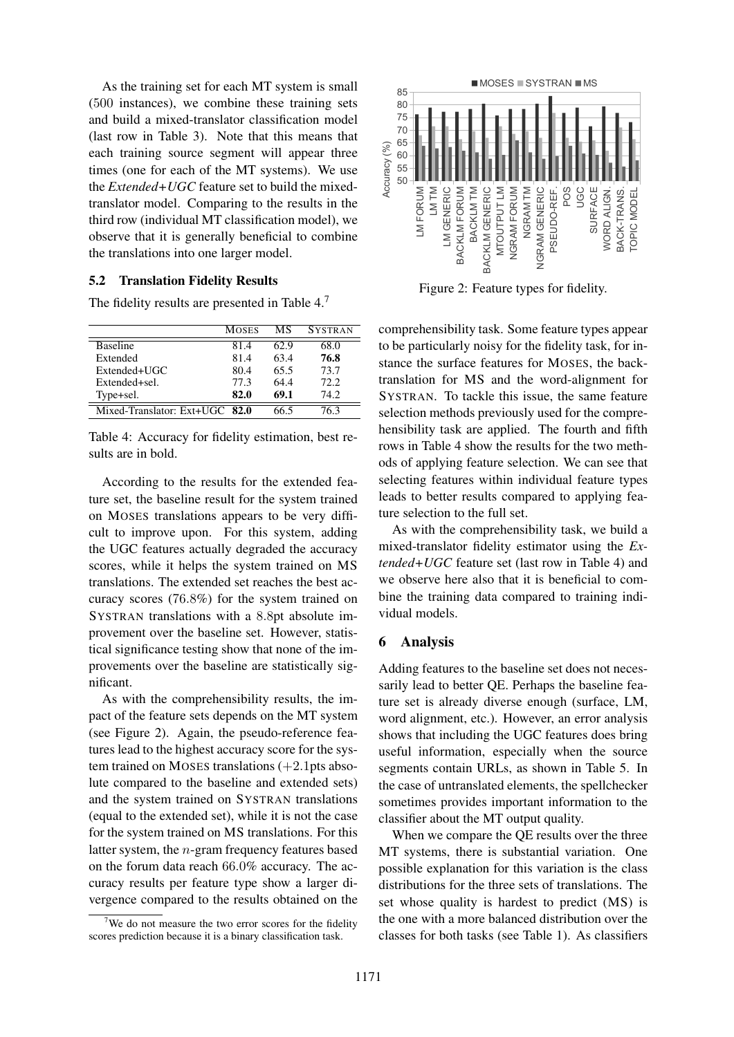As the training set for each MT system is small (500 instances), we combine these training sets and build a mixed-translator classification model (last row in Table 3). Note that this means that each training source segment will appear three times (one for each of the MT systems). We use the *Extended+UGC* feature set to build the mixedtranslator model. Comparing to the results in the third row (individual MT classification model), we observe that it is generally beneficial to combine the translations into one larger model.

#### 5.2 Translation Fidelity Results

The fidelity results are presented in Table 4.<sup>7</sup>

|                                | <b>MOSES</b> | МS   | <b>SYSTRAN</b> |
|--------------------------------|--------------|------|----------------|
| <b>Baseline</b>                | 81.4         | 62.9 | 68.0           |
| Extended                       | 81.4         | 63.4 | 76.8           |
| Extended+UGC                   | 80.4         | 65.5 | 73.7           |
| Extended+sel.                  | 77.3         | 64.4 | 72.2           |
| Type+sel.                      | 82.0         | 69.1 | 74 2           |
| Mixed-Translator: Ext+UGC 82.0 |              |      | 16.3           |

Table 4: Accuracy for fidelity estimation, best results are in bold.

According to the results for the extended feature set, the baseline result for the system trained on MOSES translations appears to be very difficult to improve upon. For this system, adding the UGC features actually degraded the accuracy scores, while it helps the system trained on MS translations. The extended set reaches the best accuracy scores (76.8%) for the system trained on SYSTRAN translations with a 8.8pt absolute improvement over the baseline set. However, statistical significance testing show that none of the improvements over the baseline are statistically significant.

As with the comprehensibility results, the impact of the feature sets depends on the MT system (see Figure 2). Again, the pseudo-reference features lead to the highest accuracy score for the system trained on MOSES translations  $(+2.1$ pts absolute compared to the baseline and extended sets) and the system trained on SYSTRAN translations (equal to the extended set), while it is not the case for the system trained on MS translations. For this latter system, the n-gram frequency features based on the forum data reach 66.0% accuracy. The accuracy results per feature type show a larger divergence compared to the results obtained on the



Figure 2: Feature types for fidelity.

comprehensibility task. Some feature types appear to be particularly noisy for the fidelity task, for instance the surface features for MOSES, the backtranslation for MS and the word-alignment for SYSTRAN. To tackle this issue, the same feature selection methods previously used for the comprehensibility task are applied. The fourth and fifth rows in Table 4 show the results for the two methods of applying feature selection. We can see that selecting features within individual feature types leads to better results compared to applying feature selection to the full set.

As with the comprehensibility task, we build a mixed-translator fidelity estimator using the *Extended+UGC* feature set (last row in Table 4) and we observe here also that it is beneficial to combine the training data compared to training individual models.

#### 6 Analysis

Adding features to the baseline set does not necessarily lead to better QE. Perhaps the baseline feature set is already diverse enough (surface, LM, word alignment, etc.). However, an error analysis shows that including the UGC features does bring useful information, especially when the source segments contain URLs, as shown in Table 5. In the case of untranslated elements, the spellchecker sometimes provides important information to the classifier about the MT output quality.

When we compare the QE results over the three MT systems, there is substantial variation. One possible explanation for this variation is the class distributions for the three sets of translations. The set whose quality is hardest to predict (MS) is the one with a more balanced distribution over the classes for both tasks (see Table 1). As classifiers

<sup>&</sup>lt;sup>7</sup>We do not measure the two error scores for the fidelity scores prediction because it is a binary classification task.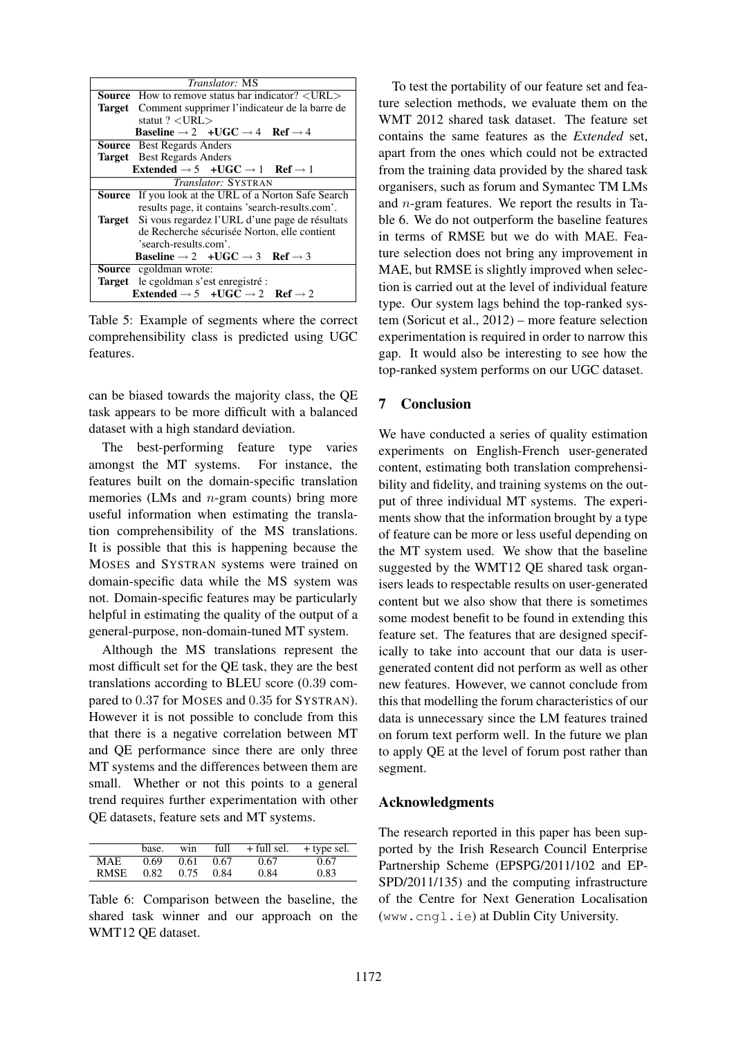|                                                                          | Translator: MS                                                           |  |  |  |
|--------------------------------------------------------------------------|--------------------------------------------------------------------------|--|--|--|
|                                                                          | <b>Source</b> How to remove status bar indicator? < URL >                |  |  |  |
|                                                                          | Target Comment supprimer l'indicateur de la barre de                     |  |  |  |
|                                                                          | statut $? < URL$                                                         |  |  |  |
| <b>Baseline</b> $\rightarrow$ 2 +UGC $\rightarrow$ 4 Ref $\rightarrow$ 4 |                                                                          |  |  |  |
|                                                                          | <b>Source</b> Best Regards Anders                                        |  |  |  |
|                                                                          | <b>Target</b> Best Regards Anders                                        |  |  |  |
| Extended $\rightarrow$ 5 +UGC $\rightarrow$ 1 Ref $\rightarrow$ 1        |                                                                          |  |  |  |
| <i>Translator:</i> SYSTRAN                                               |                                                                          |  |  |  |
|                                                                          | <b>Source</b> If you look at the URL of a Norton Safe Search             |  |  |  |
|                                                                          | results page, it contains 'search-results.com'.                          |  |  |  |
|                                                                          | <b>Target</b> Si vous regardez l'URL d'une page de résultats             |  |  |  |
|                                                                          | de Recherche sécurisée Norton, elle contient                             |  |  |  |
|                                                                          | 'search-results.com'.                                                    |  |  |  |
|                                                                          | <b>Baseline</b> $\rightarrow$ 2 +UGC $\rightarrow$ 3 Ref $\rightarrow$ 3 |  |  |  |
|                                                                          | <b>Source</b> cgoldman wrote:                                            |  |  |  |
|                                                                          | <b>Target</b> le cgoldman s'est enregistré :                             |  |  |  |
|                                                                          | Extended $\rightarrow$ 5 +UGC $\rightarrow$ 2 Ref $\rightarrow$ 2        |  |  |  |

Table 5: Example of segments where the correct comprehensibility class is predicted using UGC features.

can be biased towards the majority class, the QE task appears to be more difficult with a balanced dataset with a high standard deviation.

The best-performing feature type varies amongst the MT systems. For instance, the features built on the domain-specific translation memories (LMs and *n*-gram counts) bring more useful information when estimating the translation comprehensibility of the MS translations. It is possible that this is happening because the MOSES and SYSTRAN systems were trained on domain-specific data while the MS system was not. Domain-specific features may be particularly helpful in estimating the quality of the output of a general-purpose, non-domain-tuned MT system.

Although the MS translations represent the most difficult set for the QE task, they are the best translations according to BLEU score (0.39 compared to 0.37 for MOSES and 0.35 for SYSTRAN). However it is not possible to conclude from this that there is a negative correlation between MT and QE performance since there are only three MT systems and the differences between them are small. Whether or not this points to a general trend requires further experimentation with other QE datasets, feature sets and MT systems.

|             | base. | win  | full | + full sel. | + type sel. |
|-------------|-------|------|------|-------------|-------------|
| <b>MAE</b>  | 0.69  | 0.61 | 0.67 | 0.67        | 0.67        |
| <b>RMSE</b> | 0.82  | 0.75 | 0.84 | 0.84        | 0.83        |

Table 6: Comparison between the baseline, the shared task winner and our approach on the WMT12 QE dataset.

To test the portability of our feature set and feature selection methods, we evaluate them on the WMT 2012 shared task dataset. The feature set contains the same features as the *Extended* set, apart from the ones which could not be extracted from the training data provided by the shared task organisers, such as forum and Symantec TM LMs and n-gram features. We report the results in Table 6. We do not outperform the baseline features in terms of RMSE but we do with MAE. Feature selection does not bring any improvement in MAE, but RMSE is slightly improved when selection is carried out at the level of individual feature type. Our system lags behind the top-ranked system (Soricut et al., 2012) – more feature selection experimentation is required in order to narrow this gap. It would also be interesting to see how the top-ranked system performs on our UGC dataset.

### 7 Conclusion

We have conducted a series of quality estimation experiments on English-French user-generated content, estimating both translation comprehensibility and fidelity, and training systems on the output of three individual MT systems. The experiments show that the information brought by a type of feature can be more or less useful depending on the MT system used. We show that the baseline suggested by the WMT12 QE shared task organisers leads to respectable results on user-generated content but we also show that there is sometimes some modest benefit to be found in extending this feature set. The features that are designed specifically to take into account that our data is usergenerated content did not perform as well as other new features. However, we cannot conclude from this that modelling the forum characteristics of our data is unnecessary since the LM features trained on forum text perform well. In the future we plan to apply QE at the level of forum post rather than segment.

### Acknowledgments

The research reported in this paper has been supported by the Irish Research Council Enterprise Partnership Scheme (EPSPG/2011/102 and EP-SPD/2011/135) and the computing infrastructure of the Centre for Next Generation Localisation (www.cngl.ie) at Dublin City University.